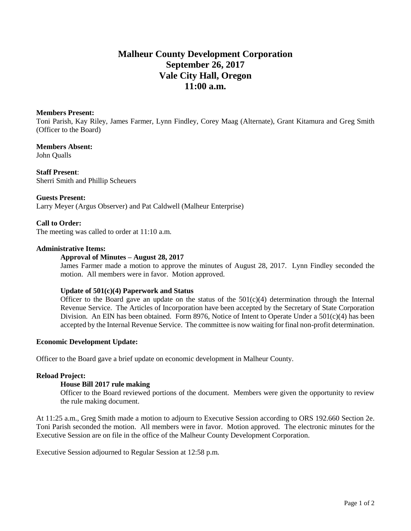# **Malheur County Development Corporation September 26, 2017 Vale City Hall, Oregon 11:00 a.m.**

#### **Members Present:**

Toni Parish, Kay Riley, James Farmer, Lynn Findley, Corey Maag (Alternate), Grant Kitamura and Greg Smith (Officer to the Board)

**Members Absent:** John Qualls

**Staff Present**: Sherri Smith and Phillip Scheuers

**Guests Present:**  Larry Meyer (Argus Observer) and Pat Caldwell (Malheur Enterprise)

# **Call to Order:**

The meeting was called to order at 11:10 a.m.

# **Administrative Items:**

# **Approval of Minutes – August 28, 2017**

James Farmer made a motion to approve the minutes of August 28, 2017. Lynn Findley seconded the motion. All members were in favor. Motion approved.

#### **Update of 501(c)(4) Paperwork and Status**

Officer to the Board gave an update on the status of the  $501(c)(4)$  determination through the Internal Revenue Service. The Articles of Incorporation have been accepted by the Secretary of State Corporation Division. An EIN has been obtained. Form 8976, Notice of Intent to Operate Under a 501(c)(4) has been accepted by the Internal Revenue Service. The committee is now waiting for final non-profit determination.

#### **Economic Development Update:**

Officer to the Board gave a brief update on economic development in Malheur County.

# **Reload Project:**

#### **House Bill 2017 rule making**

Officer to the Board reviewed portions of the document. Members were given the opportunity to review the rule making document.

At 11:25 a.m., Greg Smith made a motion to adjourn to Executive Session according to ORS 192.660 Section 2e. Toni Parish seconded the motion. All members were in favor. Motion approved. The electronic minutes for the Executive Session are on file in the office of the Malheur County Development Corporation.

Executive Session adjourned to Regular Session at 12:58 p.m.